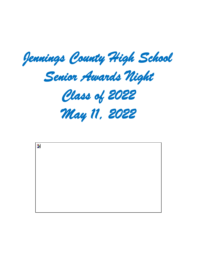

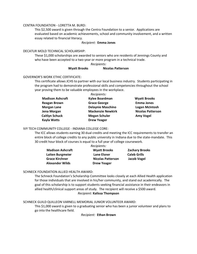#### CENTRA FOUNDATION - LORETTA M. BURD:

This \$2,500 award is given through the Centra Foundation to a senior. Applications are evaluated based on academic achievements, school and community involvement, and a written essay related to financial literacy.

#### *Recipient:* **Emma Jones**

# DECATUR MOLD TECHNICAL SCHOLARSHIP:

These \$1,000 scholarships are awarded to seniors who are residents of Jennings County and who have been accepted to a two-year or more program in a technical trade.

#### *Recipients:*

#### **Wyatt Brooks Nicolas Patterson**

#### GOVERNOR'S WORK ETHIC CERTIFICATE:

This certificate allows JCHS to partner with our local business industry. Students participating in the program had to demonstrate professional skills and competencies throughout the school year proving them to be valuable employees in the workplace. *Recipients:*

|                         | Recipients:              |                          |
|-------------------------|--------------------------|--------------------------|
| <b>Madison Ashcraft</b> | Kylee Boardman           | <b>Wyatt Brooks</b>      |
| <b>Reagan Brown</b>     | <b>Grace George</b>      | <b>Emma Jones</b>        |
| <b>Morgan Lane</b>      | <b>Delaynie Maschino</b> | <b>Logan McIntosh</b>    |
| Jena Morgan             | <b>Mackenzie Newkirk</b> | <b>Nicolas Patterson</b> |
| <b>Caitlyn Schuck</b>   | <b>Megan Schuler</b>     | <b>Amy Vogel</b>         |
| <b>Kayla Watts</b>      | <b>Drew Yeager</b>       |                          |
|                         |                          |                          |

#### IVY TECH COMMUNITY COLLEGE - INDIANA COLLEGE CORE:

The ICC allows students earning 30 dual credits and meeting the ICC requirements to transfer an entire block of college credits to any public university in Indiana due to the state-mandate. This 30 credit hour block of courses is equal to a full year of college coursework.

| Recipients:             |                          |                       |  |
|-------------------------|--------------------------|-----------------------|--|
| <b>Madison Ashcraft</b> | <b>Wyatt Brooks</b>      | <b>Zachary Brooks</b> |  |
| Laiten Burgmeier        | Lane Elsner              | <b>Caleb Grills</b>   |  |
| <b>Grace Kirchner</b>   | <b>Nicolas Patterson</b> | Jacob Vogel           |  |
| <b>Alexander Wilds</b>  | <b>Drew Yeager</b>       |                       |  |

#### SCHNECK FOUNDATION ALLIED HEALTH AWARD:

The Schneck Foundation's Scholarship Committee looks closely at each Allied Health application for those individuals that are involved in his/her community, and stand out academically. The goal of this scholarship is to support students seeking financial assistance in their endeavors in allied health/clinical support areas of study. The recipient will receive a \$500 award. *Recipient:* **Kalissa Thompson**

## SCHNECK GUILD QUILLEON VARNELL MEMORIAL JUNIOR VOLUNTEER AWARD:

This \$1,000 award is given to a graduating senior who has been a junior volunteer and plans to go into the healthcare field.

*Recipient:* **Ethan Brown**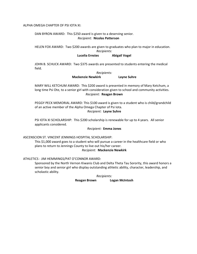#### ALPHA OMEGA CHAPTER OF PSI IOTA XI:

# DAN BYRON AWARD: This \$250 award is given to a deserving senior. *Recipient:* **Nicolas Patterson**

HELEN FOX AWARD: Two \$200 awards are given to graduates who plan to major in education. *Recipients:* 

# **Lucelia Ernstes Abigail Vogel**

JOHN B. SCHUCK AWARD: Two \$375 awards are presented to students entering the medical field.

#### *Recipients:*  **Mackenzie Newkirk Layne Suhre**

MARY WILL KETCHUM AWARD: This \$200 award is presented in memory of Mary Ketchum, a long time Psi Ote, to a senior girl with consideration given to school and community activities. *Recipient:* **Reagan Brown**

PEGGY PECK MEMORIAL AWARD: This \$100 award is given to a student who is child/grandchild of an active member of the Alpha Omega Chapter of Psi Iota. *Recipient:* **Layne Suhre**

PSI IOTA XI SCHOLARSHIP: This \$200 scholarship is renewable for up to 4 years. All senior applicants considered.

#### *Recipient:* **Emma Jones**

#### ASCENSCION ST. VINCENT JENNINGS HOSPITAL SCHOLARSHIP:

This \$1,000 award goes to a student who will pursue a career in the healthcare field or who plans to return to Jennings County to live out his/her career. *Recipient:* **Mackenzie Newkirk**

# ATHLETICS - JIM HEMMINGS/PAT O'CONNOR AWARD:

Sponsored by the North Vernon Kiwanis Club and Delta Theta Tau Sorority, this award honors a senior boy and senior girl who display outstanding athletic ability, character, leadership, and scholastic ability.

> *Recipients:*  **Reagan Brown Logan McIntosh**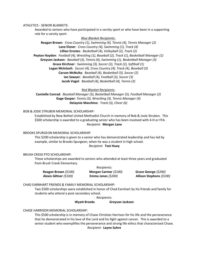ATHLETICS - SENIOR BLANKETS:

Awarded to seniors who have participated in a varsity sport or who have been in a supporting role for a varsity sport.

*Blue Blanket Recipients:*  **Reagan Brown**: *Cross Country (1), Swimming (4), Tennis (4), Tennis Manager (2)* **Lane Elsner**: *Cross Country (4), Swimming (1), Track (4)* **Lillian Ernstes**: *Basketball (4), Volleyball (2), Track (2)* **Peyton Hayden**: *Football (4), Wrestling (1), Baseball (2), Track (1), Basketball Manager (1)* **Greyson Jackson***: Baseball (3), Tennis (4), Swimming (1), Basketball Manager (3)* **Grace Kirchner**: *Swimming (3), Soccer (2), Track (2), Softball (1)* **Logan McIntosh**: *Soccer (4), Cross Country (4), Track (4), Baseball (3)* **Carson McNulty**: *Baseball (4), Basketball (3), Soccer (2)* **Ian Sawyer**: *Baseball (4), Football (2), Soccer (3)* **Jacob Vogel**: *Baseball (4), Basketball (4), Tennis (3)*

*Red Blanket Recipients:* 

**Camielle Conrad***: Baseball Manager (3), Basketball Manager (3), Football Manager (2)* **Gage Gasper**: *Tennis (3), Wrestling (3), Tennis Manager (4)* **Delaynie Maschino**: *Track (3), Cheer (6)*

# BOB & JOSIE STRUBEN MEMORIAL SCHOLARSHIP:

Established by New Bethel United Methodist Church in memory of Bob & Josie Struben. This \$500 scholarship is awarded to a graduating senior who has been involved with 4-H or FFA. *Recipient:* **Morgan Lane**

#### BROOKS SPURGEON MEMORIAL SCHOLARSHIP:

This \$200 scholarship is given to a senior who has demonstrated leadership and has led by example, similar to Brooks Spurgeon, when he was a student in high school. *Recipient:* **Toni Huey**

#### BRUSH CREEK PTO SCHOLARSHIP:

These scholarships are awarded to seniors who attended at least three years and graduated from Brush Creek Elementary.

| Recipients:            |                       |                          |  |
|------------------------|-----------------------|--------------------------|--|
| Reagan Brown (\$100)   | Morgan Carmer (\$100) | Grace George (\$200)     |  |
| Alexis Giltner (\$100) | Emma Jones (\$200)    | Allison Stephens (\$100) |  |

CHAD EARNHART FRIENDS & FAMILY MEMORIAL SCHOLARSHIP:

Two \$500 scholarships were established in honor of Chad Earnhart by his friends and family for students who attend a post-secondary school.

*Recipients:* 

## **Wyatt Brooks Greyson Jackson**

CHASE HARRISON MEMORIAL SCHOLARSHIP:

This \$500 scholarship is in memory of Chase Christian Harrison for his life and the perseverance that he demonstrated in his love of the Lord and his fight against cancer. This is awarded to a senior student who exemplifies the perseverance and strong life ethics that characterized Chase. *Recipient:* **Layne Suhre**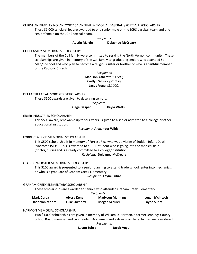CHRISTIAN BRADLEY NOLAN "CNO" 5<sup>th</sup> ANNUAL MEMORIAL BASEBALL/SOFTBALL SCHOLARSHIP: These \$1,000 scholarships are awarded to one senior male on the JCHS baseball team and one senior female on the JCHS softball team.

> *Recipients:*  **Austin Martin Delaynee McCreary**

# CULL FAMILY MEMORIAL SCHOLARSHIP:

The members of the Cull family were committed to serving the North Vernon community. These scholarships are given in memory of the Cull family to graduating seniors who attended St. Mary's School and who plan to become a religious sister or brother or who is a faithful member of the Catholic Church.

> *Recipients:*  **Madison Ashcraft** *(\$1,500)* **Caitlyn Schuck** *(\$1,000)* **Jacob Vogel** *(\$1,000)*

DELTA THETA TAU SORORITY SCHOLARSHIP:

These \$500 awards are given to deserving seniors.

*Recipients:* 

# **Gage Gasper Kayla Watts**

# ERLER INDUSTRIES SCHOLARSHIP:

This \$500 award, renewable up to four years, is given to a senior admitted to a college or other educational institution.

## *Recipient:* **Alexander Wilds**

# FORREST A. RICE MEMORIAL SCHOLARSHIP:

This \$500 scholarship is in memory of Forrest Rice who was a victim of Sudden Infant Death Syndrome (SIDS). This is awarded to a JCHS student who is going into the medical field (doctor/nurse) and is already committed to a college/institution.

# *Recipient:* **Delaynee McCreary**

# GEORGE WEBSTER MEMORIAL SCHOLARSHIP:

This \$100 award is presented to a senior planning to attend trade school, enter into mechanics, or who is a graduate of Graham Creek Elementary.

# *Recipient:* **Layne Suhre**

# GRAHAM CREEK ELEMENTARY SCHOLARSHIP:

These scholarships are awarded to seniors who attended Graham Creek Elementary.

*Recipients:* 

| <b>Mark Corya</b> | Alyssa Kent | <b>Madyson Manning</b> | Logan McIntosh |
|-------------------|-------------|------------------------|----------------|
| Jadelynn Moore    | Luke Ownbey | <b>Megan Schuler</b>   | Layne Suhre    |

# HARMON MEMORIAL SCHOLARSHIP:

Two \$1,000 scholarships are given in memory of William D. Harmon, a former Jennings County School Board member and civic leader. Academics and extra-curricular activities are considered.

*Recipients:* 

**Layne Suhre Jacob Vogel**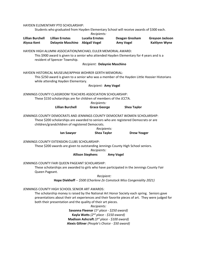| HAYDEN ELEMENTARY PTO SCHOLARSHIP:<br>Students who graduated from Hayden Elementary School will receive awards of \$300 each.<br>Recipients:                                                                                                                                                                                                                                                                                                                                                                                            |                                                                                                                                   |                                                |                                                                                                |                                         |  |
|-----------------------------------------------------------------------------------------------------------------------------------------------------------------------------------------------------------------------------------------------------------------------------------------------------------------------------------------------------------------------------------------------------------------------------------------------------------------------------------------------------------------------------------------|-----------------------------------------------------------------------------------------------------------------------------------|------------------------------------------------|------------------------------------------------------------------------------------------------|-----------------------------------------|--|
| <b>Lillian Burchell</b><br><b>Alyssa Kent</b>                                                                                                                                                                                                                                                                                                                                                                                                                                                                                           | <b>Lillian Ernstes</b><br><b>Delaynie Maschino</b>                                                                                | <b>Lucelia Ernstes</b><br><b>Abigail Vogel</b> | Deagan Gresham<br><b>Amy Vogel</b>                                                             | <b>Greyson Jackson</b><br>Kaitlynn Wyne |  |
|                                                                                                                                                                                                                                                                                                                                                                                                                                                                                                                                         | HAYDEN HIGH ALUMNI ASSOCIATION/MICHAEL EULER MEMORIAL AWARD:<br>resident of Spencer Township.                                     | Recipient: Delaynie Maschino                   | This \$900 award is given to a senior who attended Hayden Elementary for 4 years and is a      |                                         |  |
|                                                                                                                                                                                                                                                                                                                                                                                                                                                                                                                                         | HAYDEN HISTORICAL MUSEUM/APPHIA WOHRER GERTH MEMORIAL:<br>while attending Hayden Elementary.                                      | Recipient: Amy Vogel                           | This \$250 award is given to a senior who was a member of the Hayden Little Hoosier Historians |                                         |  |
|                                                                                                                                                                                                                                                                                                                                                                                                                                                                                                                                         | JENNINGS COUNTY CLASSROOM TEACHERS ASSOCIATION SCHOLARSHIP:<br>These \$150 scholarships are for children of members of the JCCTA. | Recipients:                                    |                                                                                                |                                         |  |
|                                                                                                                                                                                                                                                                                                                                                                                                                                                                                                                                         | <b>Lillian Burchell</b>                                                                                                           | <b>Grace George</b>                            | <b>Shea Taylor</b>                                                                             |                                         |  |
| JENNINGS COUNTY DEMOCRATS AND JENNINGS COUNTY DEMOCRAT WOMEN SCHOLARSHIP:<br>These \$200 scholarships are awarded to seniors who are registered Democrats or are<br>children/grandchildren of registered Democrats.<br>Recipients:                                                                                                                                                                                                                                                                                                      |                                                                                                                                   |                                                |                                                                                                |                                         |  |
|                                                                                                                                                                                                                                                                                                                                                                                                                                                                                                                                         | lan Sawyer                                                                                                                        | <b>Shea Taylor</b>                             | <b>Drew Yeager</b>                                                                             |                                         |  |
| JENNINGS COUNTY EXTENSION CLUBS SCHOLARSHIP:<br>These \$200 awards are given to outstanding Jennings County High School seniors.<br>Recipients:                                                                                                                                                                                                                                                                                                                                                                                         |                                                                                                                                   |                                                |                                                                                                |                                         |  |
| <b>Allison Stephens</b><br><b>Amy Vogel</b>                                                                                                                                                                                                                                                                                                                                                                                                                                                                                             |                                                                                                                                   |                                                |                                                                                                |                                         |  |
| JENNINGS COUNTY FAIR QUEEN PAGEANT SCHOLARSHIP:<br>These scholarships are awarded to girls who have participated in the Jennings County Fair<br>Queen Pageant.                                                                                                                                                                                                                                                                                                                                                                          |                                                                                                                                   |                                                |                                                                                                |                                         |  |
| Recipient:<br>Hope Diekhoff -- \$500 (Charlene Ze Comstock Miss Congeniality 2021)                                                                                                                                                                                                                                                                                                                                                                                                                                                      |                                                                                                                                   |                                                |                                                                                                |                                         |  |
|                                                                                                                                                                                                                                                                                                                                                                                                                                                                                                                                         |                                                                                                                                   |                                                |                                                                                                |                                         |  |
| JENNINGS COUNTY HIGH SCHOOL SENIOR ART AWARDS:<br>The scholarship money is raised by the National Art Honor Society each spring. Seniors gave<br>presentations about their art experiences and their favorite pieces of art. They were judged for<br>both their presentation and the quality of their art pieces.<br>Recipients:<br>Savanna Fleenor ( $1^{st}$ place - \$250 award)<br>Kayla Watts (2 <sup>nd</sup> place - \$150 award)<br>Madison Ashcraft (3rd place - \$100 award)<br>Alexis Giltner (People's Choice - \$50 award) |                                                                                                                                   |                                                |                                                                                                |                                         |  |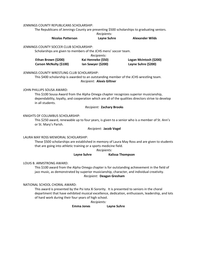JENNINGS COUNTY REPUBLICANS SCHOLARSHIP:

The Republicans of Jennings County are presenting \$500 scholarships to graduating seniors.

*Recipients:* 

**Nicolas Patterson Layne Suhre Alexander Wilds**

JENNINGS COUNTY SOCCER CLUB SCHOLARSHIP:

Scholarships are given to members of the JCHS mens' soccer team.

*Recipients:* 

| Ethan Brown (\$200)    | Kai Henneke (\$50) | Logan McIntosh (\$200) |
|------------------------|--------------------|------------------------|
| Carson McNulty (\$100) | lan Sawyer (\$200) | Layne Suhre (\$200)    |

# JENNINGS COUNTY WRESTLING CLUB SCHOLARSHIP:

This \$400 scholarship is awarded to an outstanding member of the JCHS wrestling team. *Recipient:* **Alexis Giltner**

# JOHN PHILLIPS SOUSA AWARD:

This \$100 Sousa Award from the Alpha Omega chapter recognizes superior musicianship, dependability, loyalty, and cooperation which are all of the qualities directors strive to develop in all students.

# *Recipient:* **Zachary Brooks**

# KNIGHTS OF COLUMBUS SCHOLARSHIP:

This \$250 award, renewable up to four years, is given to a senior who is a member of St. Ann's or St. Mary's Parish.

# *Recipient:* **Jacob Vogel**

# LAURA MAY ROSS MEMORIAL SCHOLARSHIP:

These \$500 scholarships are established in memory of Laura May Ross and are given to students that are going into athletic training or a sports medicine field.

*Recipients:* 

# **Layne Suhre Kalissa Thompson**

LOUIS B. ARMSTRONG AWARD:

This \$100 award from the Alpha Omega chapter is for outstanding achievement in the field of jazz music, as demonstrated by superior musicianship, character, and individual creativity. *Recipient:* **Deagan Gresham**

# NATIONAL SCHOOL CHORAL AWARD:

This award is presented by the Psi Iota Xi Sorority. It is presented to seniors in the choral department that have exhibited musical excellence, dedication, enthusiasm, leadership, and lots of hard work during their four years of high school.

*Recipients:* 

**Emma Jones Layne Suhre**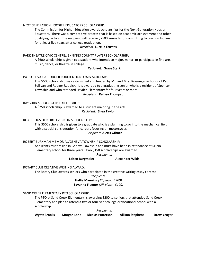#### NEXT GENERATION HOOSIER EDUCATORS SCHOLARSHIP:

The Commission for Higher Education awards scholarships for the Next Generation Hoosier Educators. There was a competitive process that is based on academic achievement and other qualifying factors. The recipient will receive \$7500 annually for committing to teach in Indiana for at least five years after college graduation.

#### *Recipient:* **Lucelia Ernstes**

#### PARK THEATRE CIVIC CENTRE/JENNINGS COUNTY PLAYERS SCHOLARSHIP:

A \$600 scholarship is given to a student who intends to major, minor, or participate in fine arts, music, dance, or theatre in college.

#### *Recipient:* **Grace Stark**

#### PAT SULLIVAN & RODGER RUDDICK HONORARY SCHOLARSHIP:

This \$500 scholarship was established and funded by Mr. and Mrs. Bessenger in honor of Pat Sullivan and Rodger Ruddick. It is awarded to a graduating senior who is a resident of Spencer Township and who attended Hayden Elementary for four years or more.

#### *Recipient:* **Kalissa Thompson**

#### RAYBURN SCHOLARSHIP FOR THE ARTS:

A \$250 scholarship is awarded to a student majoring in the arts. *Recipient:* **Shea Taylor**

### ROAD HOGS OF NORTH VERNON SCHOLARSHIP:

This \$500 scholarship is given to a graduate who is a planning to go into the mechanical field with a special consideration for careers focusing on motorcycles. *Recipient:* **Alexis Giltner**

#### ROBERT BURKMAN MEMORIAL/GENEVA TOWNSHIP SCHOLARSHIP:

Applicants must reside in Geneva Township and must have been in attendance at Scipio Elementary school for three years. Two \$150 scholarships are awarded.

*Recipients:* 

# **Laiten Burgmeier Alexander Wilds**

#### ROTARY CLUB CREATIVE WRITING AWARD:

The Rotary Club awards seniors who participate in the creative writing essay contest.

*Recipients:*  **Hallie Manning** *(1st place: \$200)* **Savanna Fleenor** *(2nd place: \$100)*

#### SAND CREEK ELEMENTARY PTO SCHOLARSHIP:

The PTO at Sand Creek Elementary is awarding \$200 to seniors that attended Sand Creek Elementary and plan to attend a two or four-year college or vocational school with a scholarship.

*Recipients:* 

**Wyatt Brooks Morgan Lane Nicolas Patterson Allison Stephens Drew Yeager**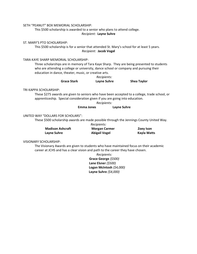SETH "PEANUT" BOX MEMORIAL SCHOLARSHIP:

This \$500 scholarship is awarded to a senior who plans to attend college. *Recipient:* **Layne Suhre**

ST. MARY'S PTO SCHOLARSHIP:

This \$500 scholarship is for a senior that attended St. Mary's school for at least 5 years. *Recipient:* **Jacob Vogel**

TARA KAYE SHARP MEMORIAL SCHOLARSHIP:

Three scholarships are in memory of Tara Kaye Sharp. They are being presented to students who are attending a college or university, dance school or company and pursuing their education in dance, theater, music, or creative arts.

|                    | Recipients: |                    |
|--------------------|-------------|--------------------|
| <b>Grace Stark</b> | Layne Suhre | <b>Shea Taylor</b> |

TRI KAPPA SCHOLARSHIP:

These \$275 awards are given to seniors who have been accepted to a college, trade school, or apprenticeship. Special consideration given if you are going into education.

*Recipients:* 

#### **Emma Jones Layne Suhre**

# UNITED WAY "DOLLARS FOR SCHOLARS":

These \$500 scholarship awards are made possible through the Jennings County United Way.

| Recipients:             |                      |             |  |
|-------------------------|----------------------|-------------|--|
| <b>Madison Ashcraft</b> | <b>Morgan Carmer</b> | Zoey Ison   |  |
| Layne Suhre             | <b>Abigail Vogel</b> | Kayla Watts |  |

#### VISIONARY SCHOLARSHIP:

The Visionary Awards are given to students who have maintained focus on their academic career at JCHS and has a clear vision and path to the career they have chosen.

> *Recipients:*  **Grace George** *(\$500)*  **Lane Elsner** *(\$500)*  **Logan McIntosh** *(\$4,000)* **Layne Suhre** *(\$4,000)*